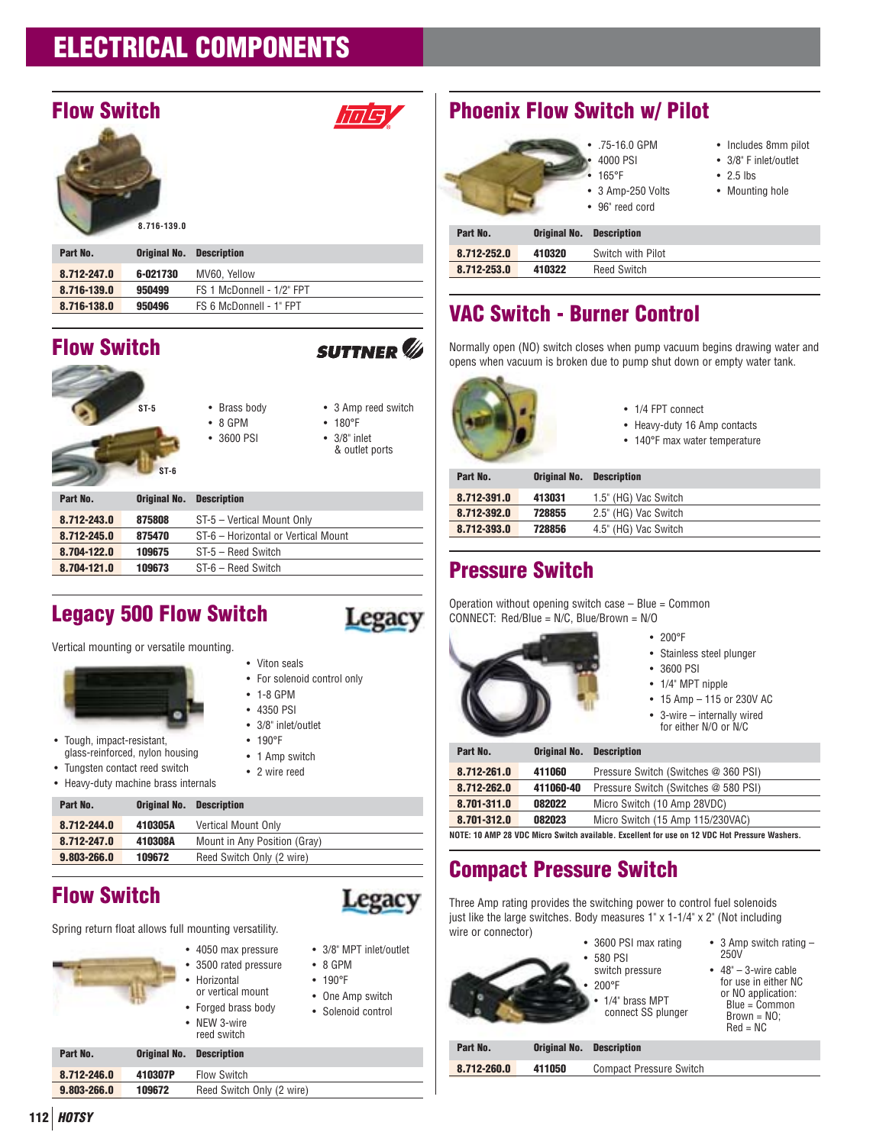# **Flow Switch**



| ۱<br>J<br>I<br>x<br>× |  |  |  |
|-----------------------|--|--|--|
| ı                     |  |  |  |
| i.<br>s<br>t,         |  |  |  |

| Part No.    | <b>Original No. Description</b> |                           |
|-------------|---------------------------------|---------------------------|
| 8.712-247.0 | 6-021730                        | MV60. Yellow              |
| 8.716-139.0 | 950499                          | FS 1 McDonnell - 1/2" FPT |
| 8.716-138.0 | 950496                          | FS 6 McDonnell - 1" FPT   |
|             |                                 |                           |

# **Flow Switch**

|             | $ST-5$<br>$ST-6$ | • Brass body<br>$\bullet$ 8 GPM<br>• 3600 PSI | • 3 Amp reed switch<br>• 180°F<br>$\bullet$ 3/8" inlet<br>& outlet ports |
|-------------|------------------|-----------------------------------------------|--------------------------------------------------------------------------|
| Part No.    |                  | <b>Original No. Description</b>               |                                                                          |
| 8.712-243.0 | 875808           | ST-5 - Vertical Mount Only                    |                                                                          |

| 8.712-243.0 | 875808 | ST-5 – Vertical Mount Only          |
|-------------|--------|-------------------------------------|
| 8.712-245.0 | 875470 | ST-6 - Horizontal or Vertical Mount |
| 8.704-122.0 | 109675 | ST-5 - Reed Switch                  |
| 8.704-121.0 | 109673 | ST-6 - Reed Switch                  |

# **Legacy 500 Flow Switch**



Vertical mounting or versatile mounting.

- Tough, impact-resistant, glass-reinforced, nylon housing
- Tungsten contact reed switch
- Heavy-duty machine brass internals

| <b>Original No. Description</b> |  |
|---------------------------------|--|
|                                 |  |

| 8.712-244.0 | 410305A | Vertical Mount Only          |
|-------------|---------|------------------------------|
| 8.712-247.0 | 410308A | Mount in Any Position (Gray) |
| 9.803-266.0 | 109672  | Reed Switch Only (2 wire)    |

# **Flow Switch**

**Part No.** 



Spring return float allows full mounting versatility.

• 4050 max pressure • 3500 rated pressure • Horizontal or vertical mount • Forged brass body • NEW 3-wire



- One Amp switch
- Solenoid control
- 

# **Part No. Original No. Description 8.712-246.0 410307P** Flow Switch

reed switch

**9.803-266.0 109672** Reed Switch Only (2 wire)





**Part No. Original No. Description 8.712-252.0 410320** Switch with Pilot

- .75-16.0 GPM • 4000 PSI
- 3/8" F inlet/outlet
	- 2.5 lbs
	- Mounting hole

• Includes 8mm pilot

| 8.712-253.0 | 410322 | <b>Reed Switch</b><br>OWILCII |
|-------------|--------|-------------------------------|
|             |        |                               |
| -----       | .      |                               |

# **VAC Switch - Burner Control**

Normally open (NO) switch closes when pump vacuum begins drawing water and opens when vacuum is broken due to pump shut down or empty water tank.



- 1/4 FPT connect
- Heavy-duty 16 Amp contacts
- 140°F max water temperature

| Part No.    | <b>Original No.</b> | <b>Description</b>   |
|-------------|---------------------|----------------------|
| 8.712-391.0 | 413031              | 1.5" (HG) Vac Switch |
| 8.712-392.0 | 728855              | 2.5" (HG) Vac Switch |
| 8.712-393.0 | 728856              | 4.5" (HG) Vac Switch |
|             |                     |                      |

# **Pressure Switch**

Operation without opening switch case  $-$  Blue = Common CONNECT: Red/Blue = N/C, Blue/Brown = N/O



- 200°F
- Stainless steel plunger
- 3600 PSI
- 1/4" MPT nipple
- 15 Amp 115 or 230V AC
- 3-wire internally wired for either N/O or N/C

| Part No.                                                                                      | Original No. | <b>Description</b>                   |  |
|-----------------------------------------------------------------------------------------------|--------------|--------------------------------------|--|
| 8.712-261.0                                                                                   | 411060       | Pressure Switch (Switches @ 360 PSI) |  |
| 8.712-262.0                                                                                   | 411060-40    | Pressure Switch (Switches @ 580 PSI) |  |
| 8.701-311.0                                                                                   | 082022       | Micro Switch (10 Amp 28VDC)          |  |
| 8.701-312.0                                                                                   | 082023       | Micro Switch (15 Amp 115/230VAC)     |  |
| NOTE: 10 AMP 28 VDC Micro Switch available. Excellent for use on 12 VDC Hot Pressure Washers. |              |                                      |  |

# **Compact Pressure Switch**

Three Amp rating provides the switching power to control fuel solenoids just like the large switches. Body measures 1" x 1-1/4" x 2" (Not including wire or connector) • 3600 PSI max rating



|   | <b>JUUU FJI IIIAX I</b> |
|---|-------------------------|
|   | $•580$ PSI              |
|   | switch pressure         |
| ٠ | 200°F                   |

- 1/4" brass MPT connect SS plunger
- 250V  $\cdot$  48" – 3-wire cable for use in either NC or NO application:  $Blue = Common$

• 3 Amp switch rating –

|             |              | connect 99 biunder             | $Brown = NO$ :<br>$Red = NC$ |
|-------------|--------------|--------------------------------|------------------------------|
| Part No.    | Original No. | <b>Description</b>             |                              |
| 8.712-260.0 | 411050       | <b>Compact Pressure Switch</b> |                              |
|             |              |                                |                              |

**112 HOTSY**

• For solenoid control only

**Legacy** 

רוחה

**SUTTNER** 

• 1-8 GPM • 4350 PSI

• Viton seals

- 3/8" inlet/outlet
- 190°F
- 1 Amp switch
- 2 wire reed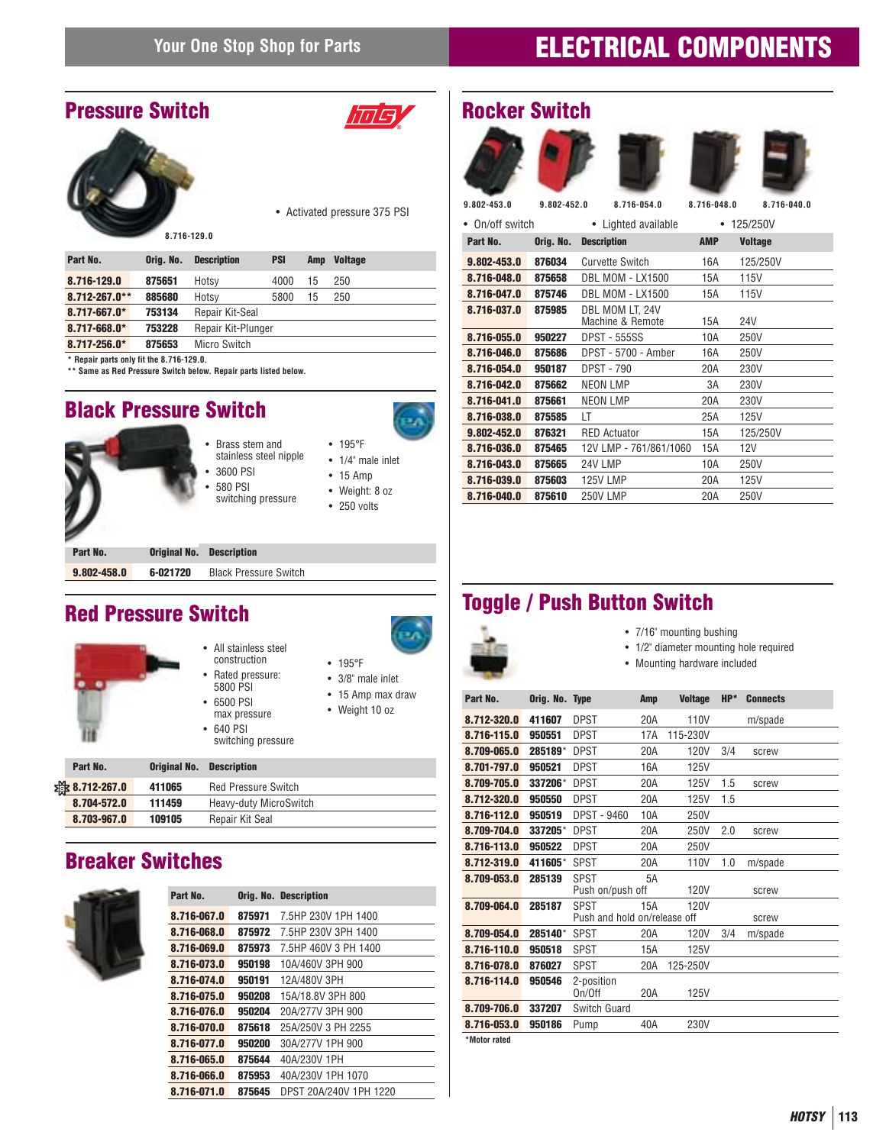### **Pressure Switch**



*IMS* 

ЕΛ

• Activated pressure 375 PSI

• 195°F • 3/8" male inlet • 15 Amp max draw • Weight 10 oz

| Part No.                                 | Oria, No. | <b>Description</b> | <b>PSI</b> | Amp | <b>Voltage</b> |
|------------------------------------------|-----------|--------------------|------------|-----|----------------|
| 8.716-129.0                              | 875651    | Hotsy              | 4000       | 15  | 250            |
| $8.712 - 267.0**$                        | 885680    | Hotsy              | 5800       | 15  | 250            |
| 8.717-667.0*                             | 753134    | Repair Kit-Seal    |            |     |                |
| $8.717 - 668.0*$                         | 753228    | Repair Kit-Plunger |            |     |                |
| $8.717 - 256.0*$                         | 875653    | Micro Switch       |            |     |                |
| * Repair parts only fit the 8.716-129.0. |           |                    |            |     |                |

**\*\* Same as Red Pressure Switch below. Repair parts listed below.**

# **Black Pressure Switch**





- All stainless steel construction • Rated pressure: 5800 PSI
- 6500 PSI max pressure
- 640 PSI switching pressure

| Part No.      | <b>Original No. Description</b> |                            |
|---------------|---------------------------------|----------------------------|
| 卷 8.712-267.0 | 411065                          | <b>Red Pressure Switch</b> |
| 8.704-572.0   | 111459                          | Heavy-duty MicroSwitch     |
| 8.703-967.0   | 109105                          | Repair Kit Seal            |

# **Breaker Switches**



| Part No.    |        | <b>Orig. No. Description</b> |
|-------------|--------|------------------------------|
| 8.716-067.0 | 875971 | 7 5HP 230V 1PH 1400          |
| 8.716-068.0 | 875972 | 7.5HP 230V 3PH 1400          |
| 8.716-069.0 | 875973 | 7.5HP 460V 3 PH 1400         |
| 8.716-073.0 | 950198 | 10A/460V 3PH 900             |
| 8.716-074.0 | 950191 | 12A/480V 3PH                 |
| 8.716-075.0 | 950208 | 15A/18.8V 3PH 800            |
| 8.716-076.0 | 950204 | 20A/277V 3PH 900             |
| 8.716-070.0 | 875618 | 25A/250V 3 PH 2255           |
| 8.716-077.0 | 950200 | 30A/277V 1PH 900             |
| 8.716-065.0 | 875644 | 40A/230V 1PH                 |
| 8.716-066.0 | 875953 | 40A/230V 1PH 1070            |
| 8.716-071.0 | 875645 | DPST 20A/240V 1PH 1220       |

| <b>Rocker Switch</b> |  |
|----------------------|--|
|----------------------|--|



# **Toggle / Push Button Switch Red Pressure Switch**

#### • 7/16" mounting bushing

- 1/2" diameter mounting hole required
- Mounting hardware included

| Part No.     | Orig. No. Type |                                             | Amp | <b>Voltage</b> | $HP*$ | <b>Connects</b> |
|--------------|----------------|---------------------------------------------|-----|----------------|-------|-----------------|
| 8.712-320.0  | 411607         | DPST                                        | 20A | 110V           |       | m/spade         |
| 8.716-115.0  | 950551         | <b>DPST</b>                                 | 17A | 115-230V       |       |                 |
| 8.709-065.0  | 285189*        | <b>DPST</b>                                 | 20A | 120V           | 3/4   | screw           |
| 8.701-797.0  | 950521         | <b>DPST</b>                                 | 16A | 125V           |       |                 |
| 8.709-705.0  | 337206*        | <b>DPST</b>                                 | 20A | 125V           | 1.5   | screw           |
| 8.712-320.0  | 950550         | <b>DPST</b>                                 | 20A | 125V           | 1.5   |                 |
| 8.716-112.0  | 950519         | <b>DPST - 9460</b>                          | 10A | 250V           |       |                 |
| 8.709-704.0  | 337205*        | DPST                                        | 20A | 250V           | 2.0   | screw           |
| 8.716-113.0  | 950522         | DPST                                        | 20A | 250V           |       |                 |
| 8.712-319.0  | 411605*        | SPST                                        | 20A | 110V           | 1.0   | m/spade         |
| 8.709-053.0  | 285139         | <b>SPST</b>                                 | 5A  |                |       |                 |
|              |                | Push on/push off                            |     | 120V           |       | screw           |
| 8.709-064.0  | 285187         | <b>SPST</b><br>Push and hold on/release off | 15A | 120V           |       | screw           |
| 8.709-054.0  | 285140*        | <b>SPST</b>                                 | 20A | 120V           | 3/4   | m/spade         |
| 8.716-110.0  | 950518         | SPST                                        | 15A | 125V           |       |                 |
| 8.716-078.0  | 876027         | SPST                                        | 20A | 125-250V       |       |                 |
| 8.716-114.0  | 950546         | 2-position<br>On/Off                        | 20A | <b>125V</b>    |       |                 |
| 8.709-706.0  | 337207         | Switch Guard                                |     |                |       |                 |
| 8.716-053.0  | 950186         | Pump                                        | 40A | 230V           |       |                 |
| *Motor rated |                |                                             |     |                |       |                 |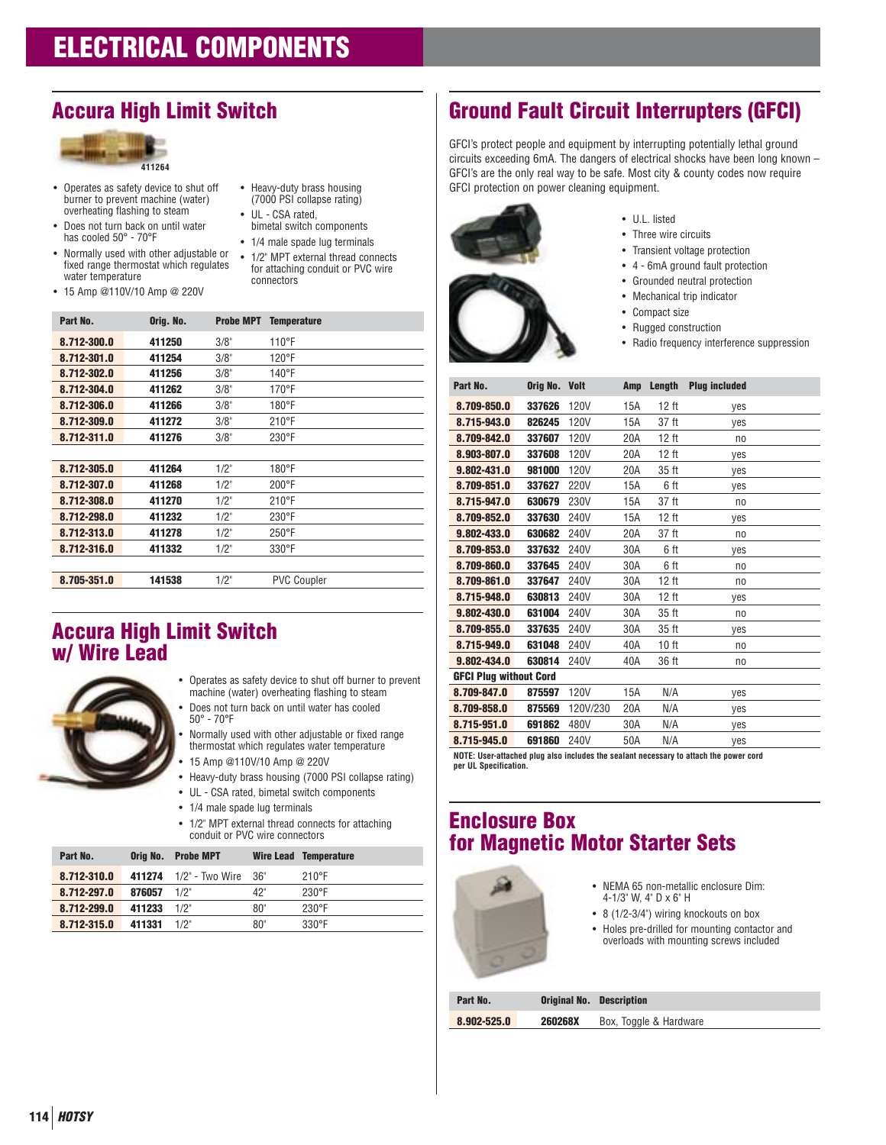# **Accura High Limit Switch**



- Operates as safety device to shut off burner to prevent machine (water) overheating flashing to steam
- Does not turn back on until water has cooled 50° - 70°F
- Normally used with other adjustable or fixed range thermostat which regulates water temperature
- 15 Amp @110V/10 Amp @ 220V
- Heavy-duty brass housing (7000 PSI collapse rating) • UL - CSA rated,
- bimetal switch components
- 1/4 male spade lug terminals
- 1/2" MPT external thread connects for attaching conduit or PVC wire connectors

| Part No.    | Orig. No. | <b>Probe MPT</b> | <b>Temperature</b> |
|-------------|-----------|------------------|--------------------|
| 8.712-300.0 | 411250    | 3/8"             | 110°F              |
| 8.712-301.0 | 411254    | 3/8"             | 120°F              |
| 8.712-302.0 | 411256    | 3/8"             | 140°F              |
| 8.712-304.0 | 411262    | 3/8"             | $170^{\circ}$ F    |
| 8.712-306.0 | 411266    | 3/8"             | 180°F              |
| 8.712-309.0 | 411272    | 3/8"             | $210^{\circ}$ F    |
| 8.712-311.0 | 411276    | 3/8"             | $230^{\circ}$ F    |
|             |           |                  |                    |
| 8.712-305.0 | 411264    | 1/2"             | 180°F              |
| 8.712-307.0 | 411268    | 1/2"             | $200^{\circ}$ F    |
| 8.712-308.0 | 411270    | 1/2"             | $210^{\circ}$ F    |
| 8.712-298.0 | 411232    | 1/2"             | 230°F              |
| 8.712-313.0 | 411278    | 1/2"             | $250^{\circ}$ F    |
| 8.712-316.0 | 411332    | 1/2"             | $330^\circ F$      |
|             |           |                  |                    |
| 8.705-351.0 | 141538    | 1/2"             | <b>PVC Coupler</b> |

### **Accura High Limit Switch w/ Wire Lead**



- Operates as safety device to shut off burner to prevent machine (water) overheating flashing to steam • Does not turn back on until water has cooled
	- 50° 70°F • Normally used with other adjustable or fixed range
	- thermostat which regulates water temperature • 15 Amp @110V/10 Amp @ 220V
- Heavy-duty brass housing (7000 PSI collapse rating)
- UL CSA rated, bimetal switch components
- 1/4 male spade lug terminals
- 1/2" MPT external thread connects for attaching conduit or PVC wire connectors

| Part No.    |        | Orig No. Probe MPT     |     | <b>Wire Lead Temperature</b> |
|-------------|--------|------------------------|-----|------------------------------|
| 8.712-310.0 |        | 411274 1/2" - Two Wire | 36" | $210^{\circ}F$               |
| 8.712-297.0 | 876057 | 1/2"                   | 42" | 230°F                        |
| 8.712-299.0 | 411233 | 1/2"                   | 80" | $230^\circ F$                |
| 8.712-315.0 | 411331 | 1/2"                   | 80" | $330^\circ F$                |

# **Ground Fault Circuit Interrupters (GFCI)**

GFCI's protect people and equipment by interrupting potentially lethal ground circuits exceeding 6mA. The dangers of electrical shocks have been long known – GFCI's are the only real way to be safe. Most city & county codes now require GFCI protection on power cleaning equipment.



- U.L. listed
- Three wire circuits
- Transient voltage protection
- 4 6mA ground fault protection
- Grounded neutral protection
- Mechanical trip indicator
- Compact size
- Rugged construction
- Radio frequency interference suppression

| Part No.                      | Orig No. Volt |             | Amp | Length           | <b>Plug included</b> |
|-------------------------------|---------------|-------------|-----|------------------|----------------------|
| 8.709-850.0                   | 337626        | 120V        | 15A | 12 ft            | yes                  |
| 8.715-943.0                   | 826245        | <b>120V</b> | 15A | 37 ft            | yes                  |
| 8.709-842.0                   | 337607        | 120V        | 20A | 12 ft            | no                   |
| 8.903-807.0                   | 337608        | 120V        | 20A | 12 ft            | yes                  |
| 9.802-431.0                   | 981000        | 120V        | 20A | 35 <sub>ft</sub> | yes                  |
| 8.709-851.0                   | 337627        | 220V        | 15A | 6 ft             | yes                  |
| 8.715-947.0                   | 630679        | 230V        | 15A | 37 ft            | no                   |
| 8.709-852.0                   | 337630        | 240V        | 15A | 12 ft            | yes                  |
| 9.802-433.0                   | 630682        | 240V        | 20A | 37 ft            | n <sub>0</sub>       |
| 8.709-853.0                   | 337632        | 240V        | 30A | 6 ft             | yes                  |
| 8.709-860.0                   | 337645        | 240V        | 30A | 6 ft             | no                   |
| 8.709-861.0                   | 337647        | 240V        | 30A | 12 ft            | no                   |
| 8.715-948.0                   | 630813        | 240V        | 30A | 12 ft            | ves                  |
| 9.802-430.0                   | 631004        | 240V        | 30A | 35 ft            | no                   |
| 8.709-855.0                   | 337635        | 240V        | 30A | 35 ft            | ves                  |
| 8.715-949.0                   | 631048        | 240V        | 40A | 10 <sub>ft</sub> | no                   |
| 9.802-434.0                   | 630814        | 240V        | 40A | 36 ft            | no                   |
| <b>GFCI Plug without Cord</b> |               |             |     |                  |                      |
| 8.709-847.0                   | 875597        | <b>120V</b> | 15A | N/A              | yes                  |
| 8.709-858.0                   | 875569        | 120V/230    | 20A | N/A              | yes                  |
| 8.715-951.0                   | 691862        | 480V        | 30A | N/A              | yes                  |
| 8.715-945.0                   | 691860        | 240V        | 50A | N/A              | yes                  |

**NOTE: User-attached plug also includes the sealant necessary to attach the power cord per UL Specification.**

### **Enclosure Box for Magnetic Motor Starter Sets**



- NEMA 65 non-metallic enclosure Dim: 4-1/3" W, 4" D x 6" H
- 8 (1/2-3/4") wiring knockouts on box
- Holes pre-drilled for mounting contactor and overloads with mounting screws included

| Part No.    |                | <b>Original No. Description</b> |
|-------------|----------------|---------------------------------|
| 8.902-525.0 | <b>260268X</b> | Box, Toggle & Hardware          |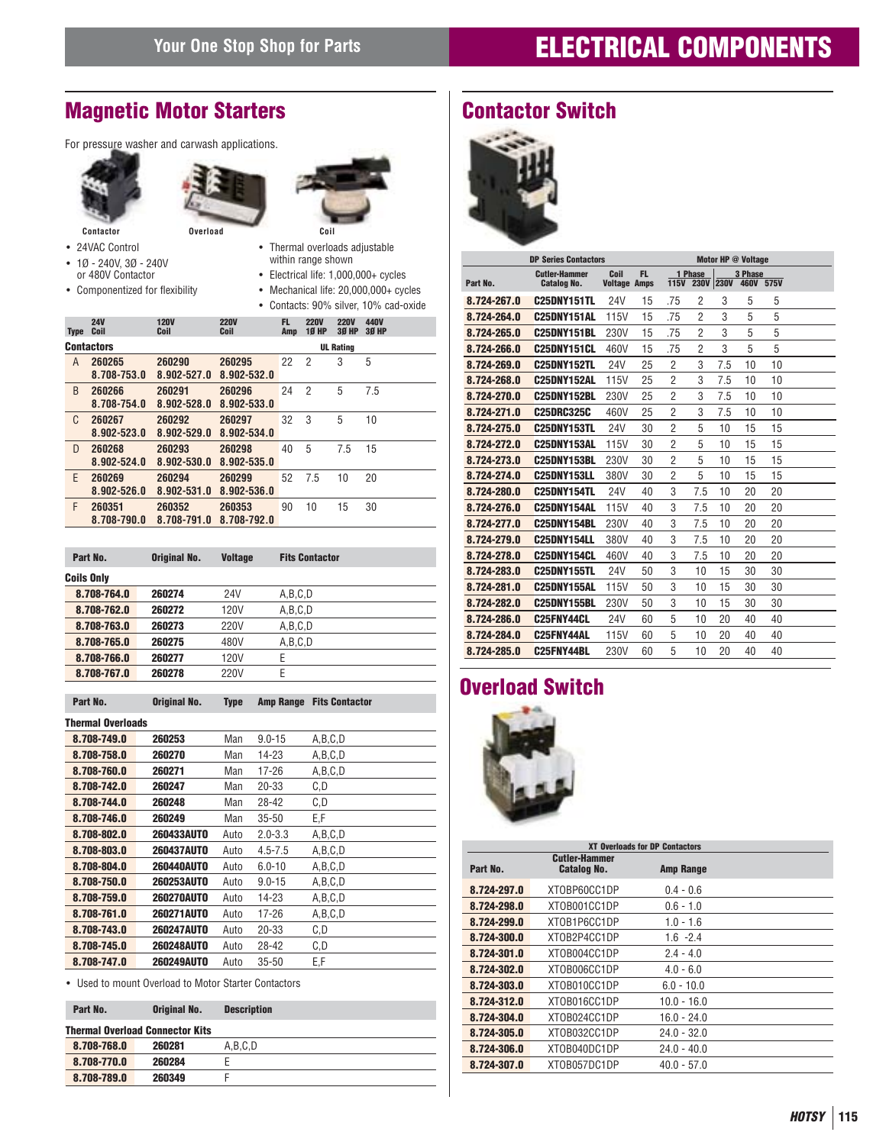# **Magnetic Motor Starters**

For pressure washer and carwash applications.







- 24VAC Control
- 1Ø 240V, 3Ø 240V or 480V Contactor
- Componentized for flexibility
- Thermal overloads adjustable within range shown
- Electrical life: 1,000,000+ cycles
- Mechanical life: 20,000,000+ cycles
- Contacts: 90% silver, 10% cad-oxide

| <b>Type</b> | <b>24V</b><br>Coil    | <b>120V</b><br>Coil   | <b>220V</b><br>Coil   | FL.<br>Amp | <b>220V</b><br><b>10 HP</b> | <b>220V</b><br><b>30 HP</b> | 440V<br><b>30 HP</b> |
|-------------|-----------------------|-----------------------|-----------------------|------------|-----------------------------|-----------------------------|----------------------|
|             | <b>Contactors</b>     |                       |                       |            |                             | <b>UL Rating</b>            |                      |
| A           | 260265<br>8.708-753.0 | 260290<br>8.902-527.0 | 260295<br>8.902-532.0 | 22         | $\overline{2}$              | 3                           | 5                    |
| B           | 260266<br>8.708-754.0 | 260291<br>8.902-528.0 | 260296<br>8.902-533.0 | 24         | 2                           | 5                           | 7.5                  |
| C           | 260267<br>8.902-523.0 | 260292<br>8.902-529.0 | 260297<br>8.902-534.0 | 32         | 3                           | 5                           | 10                   |
| D           | 260268<br>8.902-524.0 | 260293<br>8.902-530.0 | 260298<br>8.902-535.0 | 40         | 5                           | 7.5                         | 15                   |
| F           | 260269<br>8.902-526.0 | 260294<br>8.902-531.0 | 260299<br>8.902-536.0 | 52         | 7.5                         | 10                          | 20                   |
| F           | 260351<br>8.708-790.0 | 260352<br>8.708-791.0 | 260353<br>8.708-792.0 | 90         | 10                          | 15                          | 30                   |

| Part No.          | <b>Original No.</b> | <b>Voltage</b> | <b>Fits Contactor</b> |  |
|-------------------|---------------------|----------------|-----------------------|--|
| <b>Coils Only</b> |                     |                |                       |  |
| 8.708-764.0       | 260274              | 24V            | A,B,C,D               |  |
| 8.708-762.0       | 260272              | 120V           | A,B,C,D               |  |
| 8.708-763.0       | 260273              | 220V           | A,B,C,D               |  |
| 8.708-765.0       | 260275              | 480V           | A,B,C,D               |  |
| 8.708-766.0       | 260277              | 120V           | Е                     |  |
| 8.708-767.0       | 260278              | 220V           | E                     |  |

| Part No.                 | Original No.      | Type | Amp Range   | <b>Fits Contactor</b> |
|--------------------------|-------------------|------|-------------|-----------------------|
| <b>Thermal Overloads</b> |                   |      |             |                       |
| 8.708-749.0              | 260253            | Man  | $9.0 - 15$  | A,B,C,D               |
| 8.708-758.0              | 260270            | Man  | 14-23       | A,B,C,D               |
| 8.708-760.0              | 260271            | Man  | 17-26       | A,B,C,D               |
| 8.708-742.0              | 260247            | Man  | 20-33       | C,D                   |
| 8.708-744.0              | 260248            | Man  | 28-42       | C.D                   |
| 8.708-746.0              | 260249            | Man  | $35 - 50$   | E,F                   |
| 8.708-802.0              | <b>260433AUT0</b> | Auto | $2.0 - 3.3$ | A,B,C,D               |
| 8.708-803.0              | <b>260437AUTO</b> | Auto | $4.5 - 7.5$ | A.B.C.D               |
| 8.708-804.0              | <b>260440AUTO</b> | Auto | $6.0 - 10$  | A,B,C,D               |
| 8.708-750.0              | <b>260253AUTO</b> | Auto | $9.0 - 15$  | A,B,C,D               |
| 8.708-759.0              | <b>260270AUTO</b> | Auto | 14-23       | A.B.C.D               |
| 8.708-761.0              | <b>260271AUTO</b> | Auto | 17-26       | A.B.C.D               |
| 8.708-743.0              | <b>260247AUTO</b> | Auto | 20-33       | C.D                   |
| 8.708-745.0              | <b>260248AUTO</b> | Auto | 28-42       | C,D                   |
| 8.708-747.0              | <b>260249AUT0</b> | Auto | $35 - 50$   | E,F                   |

• Used to mount Overload to Motor Starter Contactors

| Part No.    | <b>Original No.</b>                    | <b>Description</b> |
|-------------|----------------------------------------|--------------------|
|             | <b>Thermal Overload Connector Kits</b> |                    |
| 8.708-768.0 | 260281                                 | A.B.C.D            |
| 8.708-770.0 | 260284                                 |                    |
| 8.708-789.0 | 260349                                 |                    |

# **Contactor Switch**



|             | <b>DP Series Contactors</b>                |                             |     |                |                      |     | Motor HP @ Voltage |           |  |
|-------------|--------------------------------------------|-----------------------------|-----|----------------|----------------------|-----|--------------------|-----------|--|
| Part No.    | <b>Cutler-Hammer</b><br><b>Catalog No.</b> | Coil<br><b>Voltage Amps</b> | FL. | <b>115V</b>    | 1 Phase<br>230V 230V |     | 3 Phase            | 460V 575V |  |
| 8.724-267.0 | <b>C25DNY151TL</b>                         | 24V                         | 15  | .75            | 2                    | 3   | 5                  | 5         |  |
| 8.724-264.0 | C25DNY151AL                                | 115V                        | 15  | .75            | $\overline{2}$       | 3   | 5                  | 5         |  |
| 8.724-265.0 | <b>C25DNY151BL</b>                         | 230V                        | 15  | .75            | $\overline{2}$       | 3   | 5                  | 5         |  |
| 8.724-266.0 | C <sub>25</sub> DNY <sub>151</sub> CL      | 460V                        | 15  | .75            | $\overline{2}$       | 3   | 5                  | 5         |  |
| 8.724-269.0 | <b>C25DNY152TL</b>                         | 24V                         | 25  | $\overline{2}$ | 3                    | 7.5 | 10                 | 10        |  |
| 8.724-268.0 | C25DNY152AL                                | <b>115V</b>                 | 25  | $\overline{2}$ | 3                    | 7.5 | 10                 | 10        |  |
| 8.724-270.0 | C25DNY152BL                                | 230V                        | 25  | $\overline{2}$ | 3                    | 7.5 | 10                 | 10        |  |
| 8.724-271.0 | <b>C25DRC325C</b>                          | 460V                        | 25  | 2              | 3                    | 7.5 | 10                 | 10        |  |
| 8.724-275.0 | C <sub>25</sub> DNY153TL                   | 24V                         | 30  | $\overline{2}$ | 5                    | 10  | 15                 | 15        |  |
| 8.724-272.0 | C <sub>25</sub> DNY153AL                   | <b>115V</b>                 | 30  | 2              | 5                    | 10  | 15                 | 15        |  |
| 8.724-273.0 | <b>C25DNY153BL</b>                         | 230V                        | 30  | $\overline{2}$ | 5                    | 10  | 15                 | 15        |  |
| 8.724-274.0 | <b>C25DNY153LL</b>                         | 380V                        | 30  | $\overline{2}$ | 5                    | 10  | 15                 | 15        |  |
| 8.724-280.0 | <b>C25DNY154TL</b>                         | 24V                         | 40  | 3              | 7.5                  | 10  | 20                 | 20        |  |
| 8.724-276.0 | C25DNY154AL                                | <b>115V</b>                 | 40  | 3              | 7.5                  | 10  | 20                 | 20        |  |
| 8.724-277.0 | <b>C25DNY154BL</b>                         | 230V                        | 40  | 3              | 7.5                  | 10  | 20                 | 20        |  |
| 8.724-279.0 | C25DNY154LL                                | 380V                        | 40  | 3              | 7.5                  | 10  | 20                 | 20        |  |
| 8.724-278.0 | C25DNY154CL                                | 460V                        | 40  | 3              | 7.5                  | 10  | 20                 | 20        |  |
| 8.724-283.0 | <b>C25DNY155TL</b>                         | 24V                         | 50  | 3              | 10                   | 15  | 30                 | 30        |  |
| 8.724-281.0 | C25DNY155AL                                | <b>115V</b>                 | 50  | 3              | 10                   | 15  | 30                 | 30        |  |
| 8.724-282.0 | <b>C25DNY155BL</b>                         | 230V                        | 50  | 3              | 10                   | 15  | 30                 | 30        |  |
| 8.724-286.0 | <b>C25FNY44CL</b>                          | 24V                         | 60  | 5              | 10                   | 20  | 40                 | 40        |  |
| 8.724-284.0 | <b>C25FNY44AL</b>                          | <b>115V</b>                 | 60  | 5              | 10                   | 20  | 40                 | 40        |  |
| 8.724-285.0 | C25FNY44BL                                 | 230V                        | 60  | 5              | 10                   | 20  | 40                 | 40        |  |
|             |                                            |                             |     |                |                      |     |                    |           |  |

# **Overload Switch**



|             | <b>XT Overloads for DP Contactors</b>      |                  |  |  |  |  |  |  |  |
|-------------|--------------------------------------------|------------------|--|--|--|--|--|--|--|
| Part No.    | <b>Cutler-Hammer</b><br><b>Catalog No.</b> | <b>Amp Range</b> |  |  |  |  |  |  |  |
| 8.724-297.0 | XTOBP60CC1DP                               | $0.4 - 0.6$      |  |  |  |  |  |  |  |
| 8.724-298.0 | XTOB001CC1DP                               | $0.6 - 1.0$      |  |  |  |  |  |  |  |
| 8.724-299.0 | XTOB1P6CC1DP                               | $1.0 - 1.6$      |  |  |  |  |  |  |  |
| 8.724-300.0 | XTOB2P4CC1DP                               | $1.6 - 2.4$      |  |  |  |  |  |  |  |
| 8.724-301.0 | XTOB004CC1DP                               | $2.4 - 4.0$      |  |  |  |  |  |  |  |
| 8.724-302.0 | XTOB006CC1DP                               | $4.0 - 6.0$      |  |  |  |  |  |  |  |
| 8.724-303.0 | XTOB010CC1DP                               | $6.0 - 10.0$     |  |  |  |  |  |  |  |
| 8.724-312.0 | XTOB016CC1DP                               | $10.0 - 16.0$    |  |  |  |  |  |  |  |
| 8.724-304.0 | XT0B024CC1DP                               | $16.0 - 24.0$    |  |  |  |  |  |  |  |
| 8.724-305.0 | XTOB032CC1DP                               | $24.0 - 32.0$    |  |  |  |  |  |  |  |
| 8.724-306.0 | XT0B040DC1DP                               | $24.0 - 40.0$    |  |  |  |  |  |  |  |
| 8.724-307.0 | XTOB057DC1DP                               | $40.0 - 57.0$    |  |  |  |  |  |  |  |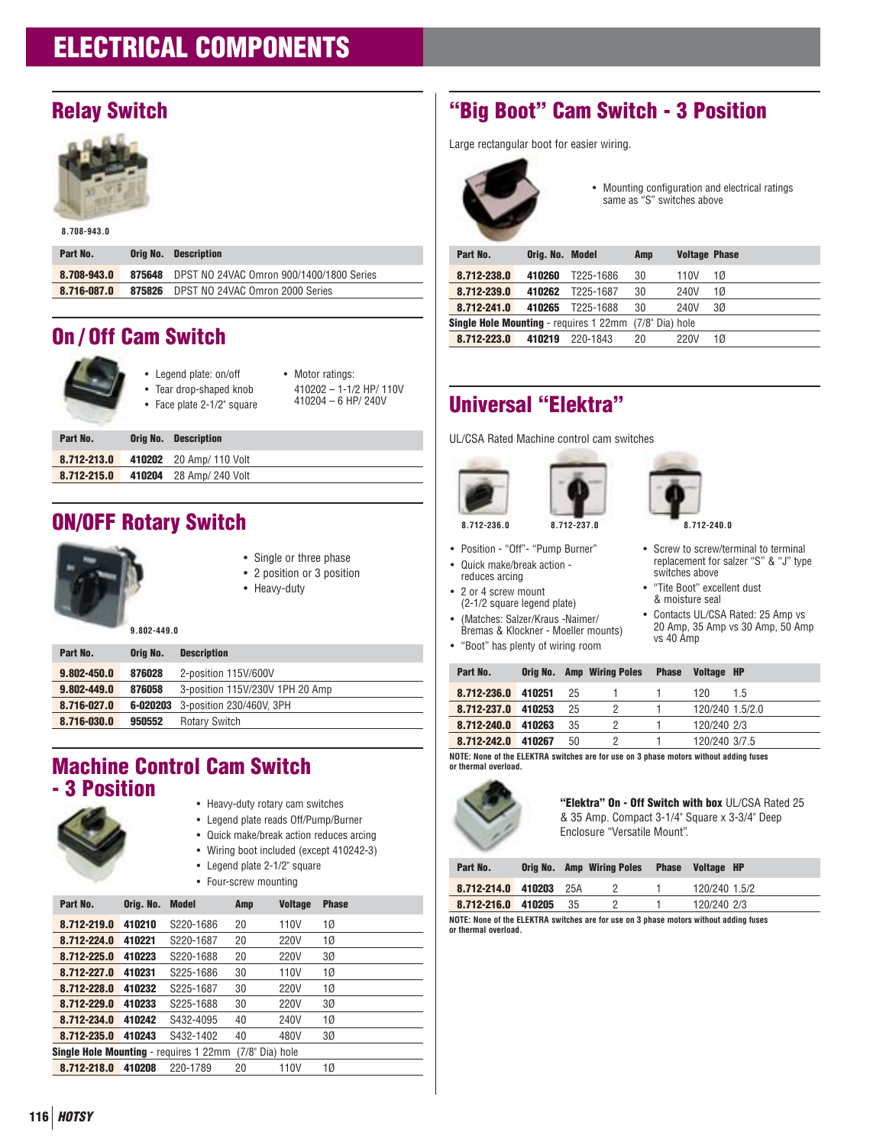# **Relay Switch**



**8.708-943.0**

| Part No.    |        | <b>Orig No.</b> Description              |
|-------------|--------|------------------------------------------|
| 8.708-943.0 | 875648 | DPST NO 24VAC Omron 900/1400/1800 Series |
| 8.716-087.0 | 875826 | DPST NO 24VAC Omron 2000 Series          |

# **On / Off Cam Switch**

|          | • Legend plate: on/off<br>• Tear drop-shaped knob<br>• Face plate 2-1/2" square | • Motor ratings:<br>410202 - 1-1/2 HP/ 110V<br>$410204 - 6$ HP/ 240V |
|----------|---------------------------------------------------------------------------------|----------------------------------------------------------------------|
| Part No. | <b>Description</b><br>Oria No.                                                  |                                                                      |

| <b>TAILINU.</b> | <b>VITH NO. PUSSIBLING</b>          |
|-----------------|-------------------------------------|
|                 | 8.712-213.0 410202 20 Amp/ 110 Volt |
| 8.712-215.0     | 410204 28 Amp/ 240 Volt             |
|                 |                                     |

# **ON/OFF Rotary Switch**



- Single or three phase
- 2 position or 3 position

• Heavy-duty

| Part No.    | Orig No. | <b>Description</b>                       |
|-------------|----------|------------------------------------------|
| 9.802-450.0 | 876028   | 2-position 115V/600V                     |
| 9.802-449.0 | 876058   | 3-position 115V/230V 1PH 20 Amp          |
| 8.716-027.0 |          | <b>6-020203</b> 3-position 230/460V, 3PH |
| 8.716-030.0 | 950552   | <b>Rotary Switch</b>                     |

# **Machine Control Cam Switch - 3 Position**

- 
- Heavy-duty rotary cam switches
- Legend plate reads Off/Pump/Burner
- Quick make/break action reduces arcing
- Wiring boot included (except 410242-3)
- Legend plate 2-1/2" square
- Four-screw mounting

| Part No.                                                      | Oria. No. | Model     | Amp | <b>Voltage</b> | <b>Phase</b> |
|---------------------------------------------------------------|-----------|-----------|-----|----------------|--------------|
| 8.712-219.0                                                   | 410210    | S220-1686 | 20  | 110V           | 1Ø           |
| 8.712-224.0                                                   | 410221    | S220-1687 | 20  | 220V           | 1Ø           |
| 8.712-225.0                                                   | 410223    | S220-1688 | 20  | 220V           | 3Ø           |
| 8.712-227.0                                                   | 410231    | S225-1686 | 30  | 110V           | 1Ø           |
| 8.712-228.0                                                   | 410232    | S225-1687 | 30  | 220V           | 1Ø           |
| 8.712-229.0                                                   | 410233    | S225-1688 | 30  | 220V           | 3Ø           |
| 8.712-234.0                                                   | 410242    | S432-4095 | 40  | 240V           | 1Ø           |
| 8.712-235.0                                                   | 410243    | S432-1402 | 40  | 480V           | 3Ø           |
| <b>Single Hole Mounting</b> - requires 1 22mm (7/8" Dia) hole |           |           |     |                |              |
| 8.712-218.0                                                   | 410208    | 220-1789  | 20  | 110V           | 1Ø           |

# **"Big Boot" Cam Switch - 3 Position**

Large rectangular boot for easier wiring.



• Mounting configuration and electrical ratings same as "S" switches above

| Part No.                                                      | Orig. No. Model |           | Amp | <b>Voltage Phase</b> |    |
|---------------------------------------------------------------|-----------------|-----------|-----|----------------------|----|
| 8.712-238.0                                                   | 410260          | T225-1686 | 30  | 110V                 | 1Ø |
| 8.712-239.0                                                   | 410262          | T225-1687 | 30  | 240V                 | 1Ø |
| 8.712-241.0                                                   | 410265          | T225-1688 | 30  | 240V                 | 30 |
| <b>Single Hole Mounting</b> - requires 1 22mm (7/8" Dia) hole |                 |           |     |                      |    |
| 8.712-223.0                                                   | 410219          | 220-1843  | 20  | 220V                 | 1Ø |
|                                                               |                 |           |     |                      |    |

# **Universal "Elektra"**

UL/CSA Rated Machine control cam switches



- Position "Off"- "Pump Burner"
- Quick make/break action -
- reduces arcing
- 2 or 4 screw mount (2-1/2 square legend plate)
- (Matches: Salzer/Kraus -Naimer/ Bremas & Klockner - Moeller mounts)
- "Boot" has plenty of wiring room



- Screw to screw/terminal to terminal replacement for salzer "S" & "J" type switches above
- "Tite Boot" excellent dust & moisture seal
- Contacts UL/CSA Rated: 25 Amp vs 20 Amp, 35 Amp vs 30 Amp, 50 Amp vs 40 Amp

| Part No.    | Oria No. |    | <b>Amp Wiring Poles</b> | <b>Phase</b> | <b>Voltage HP</b> |
|-------------|----------|----|-------------------------|--------------|-------------------|
| 8.712-236.0 | 410251   | 25 |                         |              | 120<br>15         |
| 8.712-237.0 | 410253   | 25 |                         |              | 120/240 1.5/2.0   |
| 8.712-240.0 | 410263   | 35 |                         |              | 120/240 2/3       |
| 8.712-242.0 | 410267   | 50 |                         |              | 120/240 3/7.5     |

**NOTE: None of the ELEKTRA switches are for use on 3 phase motors without adding fuses or thermal overload.**



**"Elektra" On - Off Switch with box** UL/CSA Rated 25 & 35 Amp. Compact 3-1/4" Square x 3-3/4" Deep Enclosure "Versatile Mount".

| Part No.                                                                                   |  |       | Orig No. Amp Wiring Poles | <b>Phase</b> | Voltage HP    |  |
|--------------------------------------------------------------------------------------------|--|-------|---------------------------|--------------|---------------|--|
| 8.712-214.0 410203                                                                         |  | - 25A |                           |              | 120/240 1.5/2 |  |
| 8.712-216.0 410205                                                                         |  | -35   |                           |              | 120/240 2/3   |  |
| IOTE, Napa af tha El EVTDA accitatus agu fag con an O phana postage crithacul addina fronc |  |       |                           |              |               |  |

**NOTE: None of the ELEKTRA switches are for use on 3 phase motors without adding fuses or thermal overload.**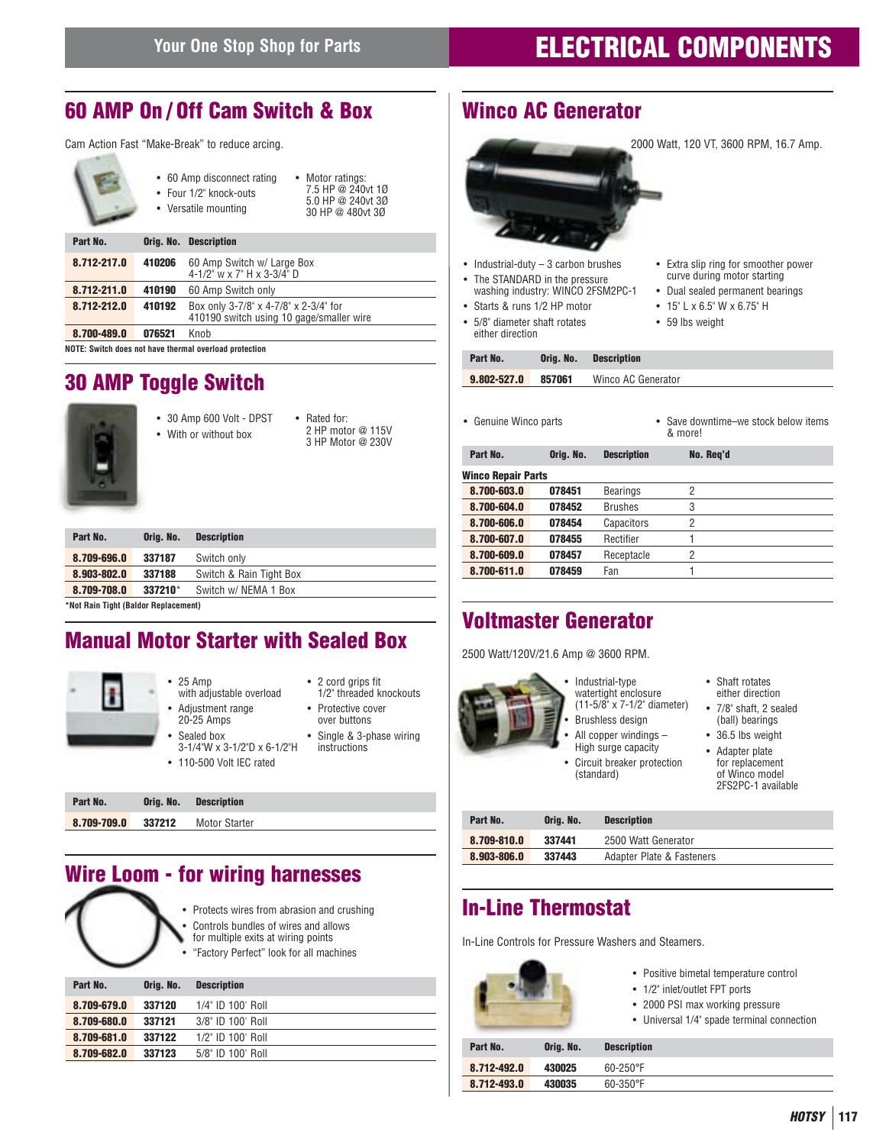# **60 AMP On / Off Cam Switch & Box**

Cam Action Fast "Make-Break" to reduce arcing.

|             |        | • 60 Amp disconnect rating<br>• Motor ratings:<br>7.5 HP @ 240vt 10<br>$\bullet$ Four $1/2$ " knock-outs<br>5.0 HP @ 240vt 30<br>• Versatile mounting<br>30 HP @ 480vt 30 |  |  |  |
|-------------|--------|---------------------------------------------------------------------------------------------------------------------------------------------------------------------------|--|--|--|
| Part No.    |        | <b>Orig. No. Description</b>                                                                                                                                              |  |  |  |
| 8.712-217.0 | 410206 | 60 Amp Switch w/ Large Box<br>4-1/2" w x 7" H x 3-3/4" D                                                                                                                  |  |  |  |
| 8.712-211.0 | 410190 | 60 Amp Switch only                                                                                                                                                        |  |  |  |
| 8.712-212.0 | 410192 | Box only 3-7/8" x 4-7/8" x 2-3/4" for<br>410190 switch using 10 gage/smaller wire                                                                                         |  |  |  |
| 8.700-489.0 | 076521 | Knob                                                                                                                                                                      |  |  |  |
|             | .      | .                                                                                                                                                                         |  |  |  |

**NOTE: Switch does not have thermal overload protection**

# **30 AMP Toggle Switch**



**CONTRACTOR** 

- 30 Amp 600 Volt DPST • With or without box • Rated for:
	- 2 HP motor @ 115V 3 HP Motor @ 230V

| Part No.                                                                                          | Oria, No. | <b>Description</b>      |
|---------------------------------------------------------------------------------------------------|-----------|-------------------------|
| 8.709-696.0                                                                                       | 337187    | Switch only             |
| 8.903-802.0                                                                                       | 337188    | Switch & Rain Tight Box |
| 8.709-708.0                                                                                       | 337210*   | Switch w/ NEMA 1 Box    |
| $\sim$ . The state $\sim$ . The state $\sim$ The state $\sim$ The state $\sim$ . The state $\sim$ |           |                         |

**\*Not Rain Tight (Baldor Replacement)**

# **Manual Motor Starter with Sealed Box**



| 8.709-709.0 337212 | Motor Starter |  |
|--------------------|---------------|--|
|                    |               |  |

# **Wire Loom - for wiring harnesses**



- Protects wires from abrasion and crushing
- Controls bundles of wires and allows for multiple exits at wiring points
- "Factory Perfect" look for all machines

|  | TWO LOT Y T OFFOOL TOOK TOT AIT ITIAOTHITOO |  |
|--|---------------------------------------------|--|
|  |                                             |  |
|  |                                             |  |

| Part No.    | Oria, No. | <b>Description</b> |
|-------------|-----------|--------------------|
| 8.709-679.0 | 337120    | 1/4" ID 100' Roll  |
| 8.709-680.0 | 337121    | 3/8" ID 100' Roll  |
| 8.709-681.0 | 337122    | 1/2" ID 100' Roll  |
| 8.709-682.0 | 337123    | 5/8" ID 100' Roll  |

# **Winco AC Generator**



- Industrial-duty 3 carbon brushes
- The STANDARD in the pressure washing industry: WINCO 2FSM2PC-1
- Starts & runs 1/2 HP motor
- 5/8" diameter shaft rotates either direction
- Extra slip ring for smoother power curve during motor starting
- Dual sealed permanent bearings
- 15" L x 6.5" W x 6.75" H
- 59 lbs weight

| Part No.    | Oria, No. | <b>Description</b> |
|-------------|-----------|--------------------|
| 9.802-527.0 | 857061    | Winco AC Generator |

- 
- Genuine Winco parts Save downtime–we stock below items & more!

| Part No.                  | Orig. No. | <b>Description</b> | No. Reg'd |  |
|---------------------------|-----------|--------------------|-----------|--|
| <b>Winco Repair Parts</b> |           |                    |           |  |
| 8.700-603.0               | 078451    | <b>Bearings</b>    | 2         |  |
| 8.700-604.0               | 078452    | <b>Brushes</b>     | 3         |  |
| 8.700-606.0               | 078454    | Capacitors         | 2         |  |
| 8.700-607.0               | 078455    | Rectifier          |           |  |
| 8.700-609.0               | 078457    | Receptacle         | 2         |  |
| 8.700-611.0               | 078459    | Fan                |           |  |

# **Voltmaster Generator**

2500 Watt/120V/21.6 Amp @ 3600 RPM.



- Industrial-type watertight enclosure
- (11-5/8" x 7-1/2" diameter) • Brushless design
- All copper windings -High surge capacity
- Circuit breaker protection (standard)
- Shaft rotates either direction
- 7/8" shaft, 2 sealed (ball) bearings
- 36.5 lbs weight • Adapter plate for replacement of Winco model
- 2FS2PC-1 available

| Part No.    | Oria, No. | <b>Description</b>        |
|-------------|-----------|---------------------------|
| 8.709-810.0 | 337441    | 2500 Watt Generator       |
| 8.903-806.0 | 337443    | Adapter Plate & Fasteners |
|             |           |                           |

# **In-Line Thermostat**

8.712-493.0 430035 60-350°F

In-Line Controls for Pressure Washers and Steamers.

|             |           | • Positive bimetal temperature control<br>• 1/2" inlet/outlet FPT ports<br>• 2000 PSI max working pressure<br>• Universal 1/4" spade terminal connection |  |
|-------------|-----------|----------------------------------------------------------------------------------------------------------------------------------------------------------|--|
| Part No.    | Orig. No. | <b>Description</b>                                                                                                                                       |  |
| 8.712-492.0 | 430025    | $60 - 250$ °F                                                                                                                                            |  |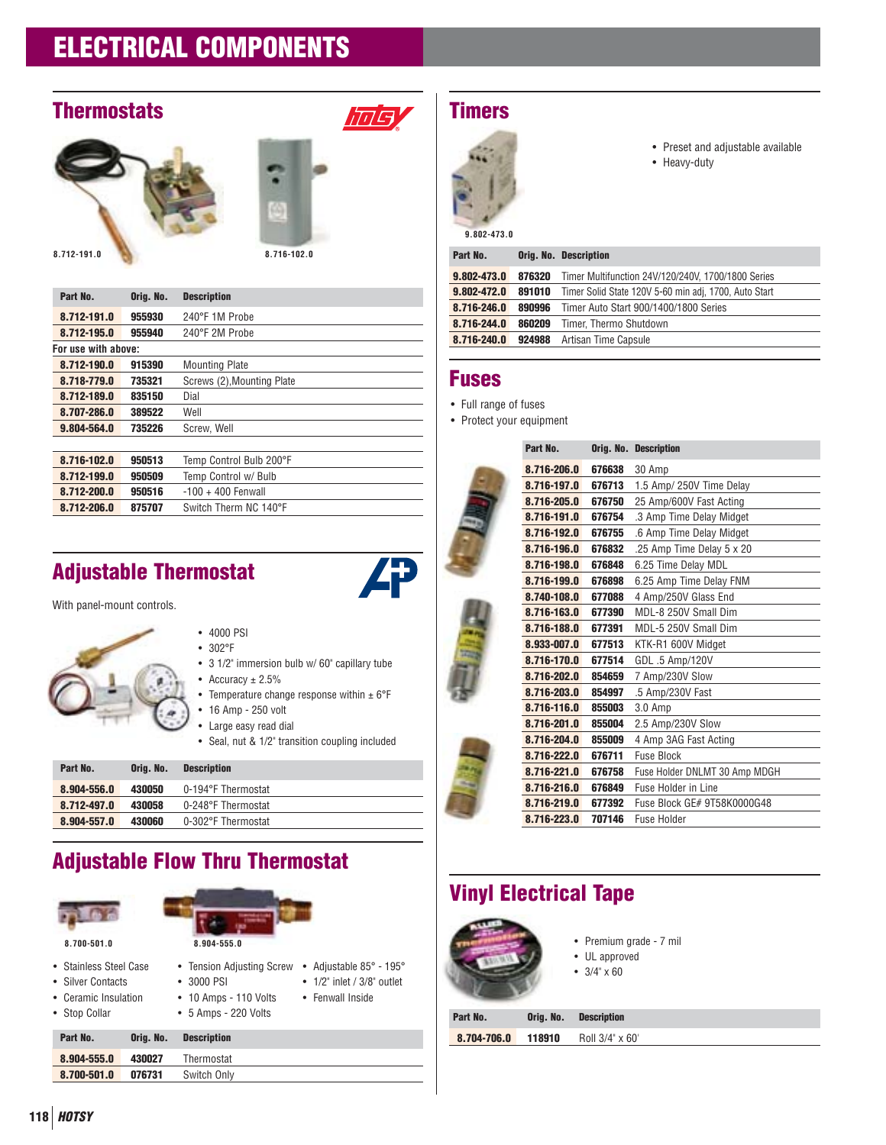# **Thermostats**





**Hulsy** 

| Part No.            | Orig. No. | <b>Description</b>         |
|---------------------|-----------|----------------------------|
| 8.712-191.0         | 955930    | 240°F 1M Probe             |
| 8.712-195.0         | 955940    | 240°F 2M Probe             |
| For use with above: |           |                            |
| 8.712-190.0         | 915390    | <b>Mounting Plate</b>      |
| 8.718-779.0         | 735321    | Screws (2), Mounting Plate |
| 8.712-189.0         | 835150    | Dial                       |
| 8.707-286.0         | 389522    | Well                       |
| 9.804-564.0         | 735226    | Screw. Well                |
|                     |           |                            |
| 8.716-102.0         | 950513    | Temp Control Bulb 200°F    |
| 8.712-199.0         | 950509    | Temp Control w/ Bulb       |
| 8.712-200.0         | 950516    | $-100 + 400$ Fenwall       |
| 8.712-206.0         | 875707    | Switch Therm NC 140°F      |

# **Adjustable Thermostat**

With panel-mount controls.



- 4000 PSI
- 302°F
- 3 1/2" immersion bulb w/ 60" capillary tube
- Accuracy  $\pm 2.5\%$
- Temperature change response within  $\pm 6^{\circ}$ F
- 16 Amp 250 volt
- Large easy read dial
- Seal, nut & 1/2" transition coupling included

• Adjustable 85° - 195° • 1/2" inlet / 3/8" outlet • Fenwall Inside

| Part No.    | Oria, No. | <b>Description</b> |
|-------------|-----------|--------------------|
| 8.904-556.0 | 430050    | 0-194°F Thermostat |
| 8.712-497.0 | 430058    | 0-248°F Thermostat |
| 8.904-557.0 | 430060    | 0-302°F Thermostat |

# **Adjustable Flow Thru Thermostat**

| 8.700-501.0            | 8.904-555.0               |
|------------------------|---------------------------|
| • Stainless Steel Case | • Tension Adjusting Screw |
| • Silver Contacts      | $• 3000$ PSI              |
| • Ceramic Insulation   | • 10 Amps - 110 Volts     |
| • Stop Collar          | • 5 Amps - 220 Volts      |

| Part No.    | Orig. No. | <b>Description</b> |
|-------------|-----------|--------------------|
| 8.904-555.0 | 430027    | Thermostat         |
| 8.700-501.0 | 076731    | Switch Only        |
|             |           |                    |

# **Timers**



- Preset and adjustable available
- Heavy-duty

#### **9.802-473.0**

| Part No.    |        | <b>Orig. No. Description</b>                          |
|-------------|--------|-------------------------------------------------------|
| 9.802-473.0 | 876320 | Timer Multifunction 24V/120/240V, 1700/1800 Series    |
| 9.802-472.0 | 891010 | Timer Solid State 120V 5-60 min adj, 1700, Auto Start |
| 8.716-246.0 | 890996 | Timer Auto Start 900/1400/1800 Series                 |
| 8.716-244.0 | 860209 | Timer, Thermo Shutdown                                |
| 8.716-240.0 | 924988 | Artisan Time Capsule                                  |
|             |        |                                                       |

#### **Fuses**

- Full range of fuses
- Protect your equipment

|  | Part No.    |        | Orig. No. Description         |
|--|-------------|--------|-------------------------------|
|  | 8.716-206.0 | 676638 | 30 Amp                        |
|  | 8.716-197.0 | 676713 | 1.5 Amp/ 250V Time Delay      |
|  | 8.716-205.0 | 676750 | 25 Amp/600V Fast Acting       |
|  | 8.716-191.0 | 676754 | .3 Amp Time Delay Midget      |
|  | 8.716-192.0 | 676755 | .6 Amp Time Delay Midget      |
|  | 8.716-196.0 | 676832 | .25 Amp Time Delay 5 x 20     |
|  | 8.716-198.0 | 676848 | 6.25 Time Delay MDL           |
|  | 8.716-199.0 | 676898 | 6.25 Amp Time Delay FNM       |
|  | 8.740-108.0 | 677088 | 4 Amp/250V Glass End          |
|  | 8.716-163.0 | 677390 | MDL-8 250V Small Dim          |
|  | 8.716-188.0 | 677391 | MDL-5 250V Small Dim          |
|  | 8.933-007.0 | 677513 | KTK-R1 600V Midget            |
|  | 8.716-170.0 | 677514 | GDL .5 Amp/120V               |
|  | 8.716-202.0 | 854659 | 7 Amp/230V Slow               |
|  | 8.716-203.0 | 854997 | .5 Amp/230V Fast              |
|  | 8.716-116.0 | 855003 | 3.0 Amp                       |
|  | 8.716-201.0 | 855004 | 2.5 Amp/230V Slow             |
|  | 8.716-204.0 | 855009 | 4 Amp 3AG Fast Acting         |
|  | 8.716-222.0 | 676711 | <b>Fuse Block</b>             |
|  | 8.716-221.0 | 676758 | Fuse Holder DNLMT 30 Amp MDGH |
|  | 8.716-216.0 | 676849 | Fuse Holder in Line           |
|  | 8.716-219.0 | 677392 | Fuse Block GE# 9T58K0000G48   |
|  | 8.716-223.0 | 707146 | Fuse Holder                   |

# **Vinyl Electrical Tape**



- Premium grade 7 mil
- UL approved
- $3/4$ "  $\times 60$

| Part No.    |        | <b>Orig. No. Description</b> |
|-------------|--------|------------------------------|
| 8.704-706.0 | 118910 | Roll 3/4" x 60"              |